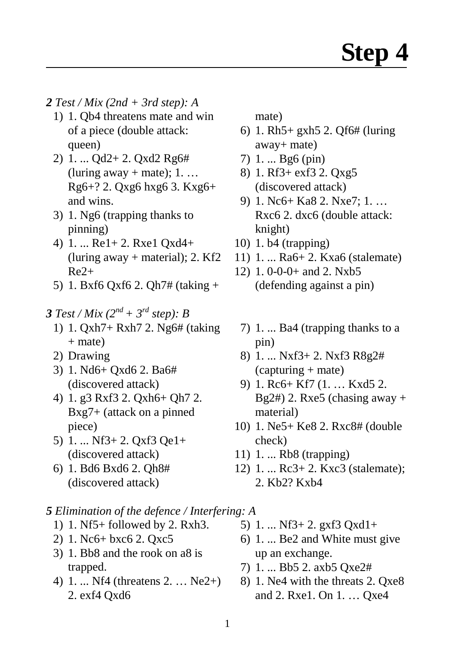- *2 Test / Mix (2nd + 3rd step): A*
	- 1) 1. Qb4 threatens mate and win of a piece (double attack: queen)
	- 2) 1. ... Qd2+ 2. Qxd2 Rg6# (luring away + mate);  $1 \ldots$ Rg6+? 2. Qxg6 hxg6 3. Kxg6+ and wins.
	- 3) 1. Ng6 (trapping thanks to pinning)
	- 4) 1. ... Re1+ 2. Rxe1 Qxd4+ (luring away + material); 2. Kf2 Re2+
	- 5) 1. Bxf6 Qxf6 2. Qh7# (taking +
- *3 Test* / *Mix*  $(2^{nd} + 3^{rd} \text{ step})$ : *B* 
	- 1) 1. Qxh7+ Rxh7 2. Ng6# (taking  $+$  mate)
	- 2) Drawing
	- 3) 1. Nd6+ Qxd6 2. Ba6# (discovered attack)
	- 4) 1. g3 Rxf3 2. Qxh6+ Qh7 2. Bxg7+ (attack on a pinned piece)
	- 5) 1. ... Nf3+ 2. Qxf3 Qe1+ (discovered attack)
	- 6) 1. Bd6 Bxd6 2. Qh8# (discovered attack)

mate)

- 6) 1. Rh5+ gxh5 2. Qf6# (luring away+ mate)
- 7) 1. ... Bg6 (pin)
- 8) 1. Rf3+ exf3 2. Qxg5 (discovered attack)
- 9) 1. Nc6+ Ka8 2. Nxe7; 1. … Rxc6 2. dxc6 (double attack: knight)
- 10) 1. b4 (trapping)
- 11) 1. ... Ra6+ 2. Kxa6 (stalemate)
- 12) 1. 0-0-0+ and 2. Nxb5 (defending against a pin)
	- 7) 1. ... Ba4 (trapping thanks to a pin)
	- 8) 1. ... Nxf3+ 2. Nxf3 R8g2# (capturing + mate)
	- 9) 1. Rc6+ Kf7 (1. … Kxd5 2.  $Bg2#$ ) 2. Rxe5 (chasing away + material)
- 10) 1. Ne5+ Ke8 2. Rxc8# (double check)
- 11) 1. ... Rb8 (trapping)
- 12) 1. ... Rc3+ 2. Kxc3 (stalemate); 2. Kb2? Kxb4

*5 Elimination of the defence / Interfering: A*

- 1) 1. Nf5+ followed by 2. Rxh3.
- 2) 1. Nc6+ bxc6 2. Qxc5
- 3) 1. Bb8 and the rook on a8 is trapped.
- 4) 1. ... Nf4 (threatens 2. … Ne2+) 2. exf4 Qxd6
- 5) 1. ... Nf3+ 2. gxf3 Qxd1+
- 6) 1. ... Be2 and White must give up an exchange.
- 7) 1. ... Bb5 2. axb5 Qxe2#
- 8) 1. Ne4 with the threats 2. Qxe8 and 2. Rxe1. On 1. … Qxe4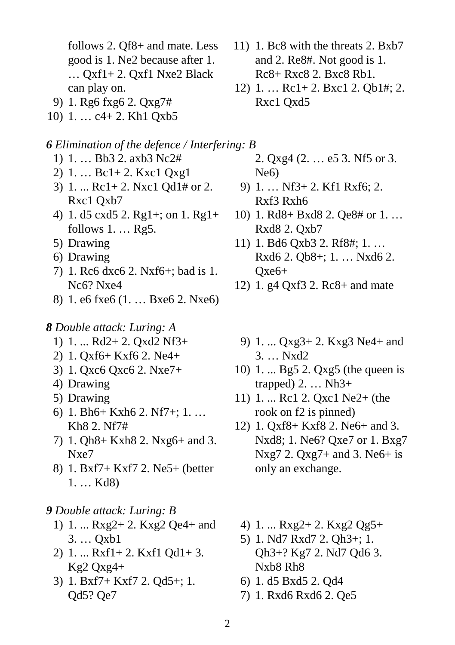follows 2. Qf8+ and mate. Less good is 1. Ne2 because after 1. … Qxf1+ 2. Qxf1 Nxe2 Black can play on.

- 9) 1. Rg6 fxg6 2. Qxg7#
- 10) 1. … c4+ 2. Kh1 Qxb5

## *6 Elimination of the defence / Interfering: B*

- 1) 1. … Bb3 2. axb3 Nc2#
- 2) 1. … Bc1+ 2. Kxc1 Qxg1
- 3) 1. ... Rc1+ 2. Nxc1 Qd1# or 2. Rxc1 Qxb7
- 4) 1. d5 cxd5 2. Rg1+; on 1. Rg1+ follows 1. … Rg5.
- 5) Drawing
- 6) Drawing
- 7) 1. Rc6 dxc6 2. Nxf6+; bad is 1. Nc6? Nxe4
- 8) 1. e6 fxe6 (1. … Bxe6 2. Nxe6)

#### *8 Double attack: Luring: A*

- 1) 1. ... Rd2+ 2. Qxd2 Nf3+
- 2) 1. Qxf6+ Kxf6 2. Ne4+
- 3) 1. Qxc6 Qxc6 2. Nxe7+
- 4) Drawing
- 5) Drawing
- 6) 1. Bh6+ Kxh6 2. Nf7+; 1. … Kh8 2. Nf7#
- 7) 1. Qh8+ Kxh8 2. Nxg6+ and 3. Nxe7
- 8) 1. Bxf7+ Kxf7 2. Ne5+ (better 1. … Kd8)

#### *9 Double attack: Luring: B*

- 1) 1. ... Rxg2+ 2. Kxg2 Qe4+ and 3. … Qxb1
- 2) 1. ... Rxf1+ 2. Kxf1 Qd1+ 3. Kg2 Qxg4+
- 3) 1. Bxf7+ Kxf7 2. Qd5+; 1. Qd5? Qe7
- 11) 1. Bc8 with the threats 2. Bxb7 and 2. Re8#. Not good is 1. Rc8+ Rxc8 2. Bxc8 Rb1.
- 12) 1. … Rc1+ 2. Bxc1 2. Qb1#; 2. Rxc1 Qxd5
	- 2. Qxg4 (2. … e5 3. Nf5 or 3. Ne6)
	- 9) 1. … Nf3+ 2. Kf1 Rxf6; 2. Rxf3 Rxh6
- 10) 1. Rd8+ Bxd8 2. Qe8# or 1. … Rxd8 2. Qxb7
- 11) 1. Bd6 Qxb3 2. Rf8#; 1. … Rxd6 2. Qb8+; 1. … Nxd6 2. Qxe6+
- 12) 1. g4 Qxf3 2. Rc8+ and mate
	- 9) 1. ... Qxg3+ 2. Kxg3 Ne4+ and 3. … Nxd2
- 10) 1. ... Bg5 2. Qxg5 (the queen is trapped)  $2. \ldots$  Nh $3+$
- 11) 1. ... Rc1 2. Qxc1 Ne2+ (the rook on f2 is pinned)
- 12) 1. Qxf8+ Kxf8 2. Ne6+ and 3. Nxd8; 1. Ne6? Qxe7 or 1. Bxg7 Nxg7 2. Qxg7+ and 3. Ne6+ is only an exchange.
	- 4) 1. ... Rxg2+ 2. Kxg2 Qg5+
	- 5) 1. Nd7 Rxd7 2. Qh3+; 1. Qh3+? Kg7 2. Nd7 Qd6 3. Nxb8 Rh8
	- 6) 1. d5 Bxd5 2. Qd4
- 7) 1. Rxd6 Rxd6 2. Qe5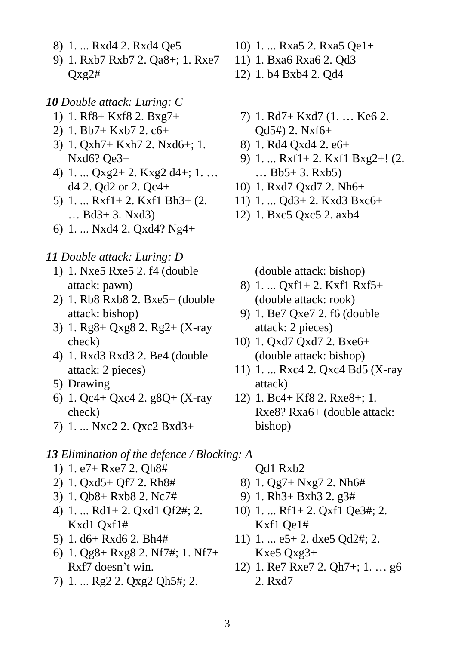- 8) 1. ... Rxd4 2. Rxd4 Qe5
- 9) 1. Rxb7 Rxb7 2. Qa8+; 1. Rxe7 Qxg2#

#### *10 Double attack: Luring: C*

- 1) 1. Rf8+ Kxf8 2. Bxg7+
- 2) 1. Bb7+ Kxb7 2. c6+
- 3) 1. Qxh7+ Kxh7 2. Nxd6+; 1. Nxd6? Qe3+
- 4) 1. ... Qxg2+ 2. Kxg2 d4+; 1. … d4 2. Qd2 or 2. Qc4+
- 5) 1. ... Rxf1+ 2. Kxf1 Bh3+ (2.  $...$  Bd3+ 3. Nxd3)
- 6) 1. ... Nxd4 2. Qxd4? Ng4+

## *11 Double attack: Luring: D*

- 1) 1. Nxe5 Rxe5 2. f4 (double attack: pawn)
- 2) 1. Rb8 Rxb8 2. Bxe5+ (double attack: bishop)
- 3) 1. Rg8+ Qxg8 2. Rg2+ (X-ray check)
- 4) 1. Rxd3 Rxd3 2. Be4 (double attack: 2 pieces)
- 5) Drawing
- 6) 1. Qc4+ Qxc4 2. g8Q+ (X-ray check)
- 7) 1. ... Nxc2 2. Qxc2 Bxd3+
- 10) 1. ... Rxa5 2. Rxa5 Qe1+
- 11) 1. Bxa6 Rxa6 2. Qd3
- 12) 1. b4 Bxb4 2. Qd4
	- 7) 1. Rd7+ Kxd7 (1. … Ke6 2. Qd5#) 2. Nxf6+
	- 8) 1. Rd4 Qxd4 2. e6+
- 9) 1. ... Rxf1+ 2. Kxf1 Bxg2+! (2.  $\ldots$  Bb5+ 3. Rxb5)
- 10) 1. Rxd7 Qxd7 2. Nh6+
- 11) 1. ... Qd3+ 2. Kxd3 Bxc6+
- 12) 1. Bxc5 Qxc5 2. axb4

(double attack: bishop)

- 8) 1. ... Qxf1+ 2. Kxf1 Rxf5+ (double attack: rook)
- 9) 1. Be7 Qxe7 2. f6 (double attack: 2 pieces)
- 10) 1. Qxd7 Qxd7 2. Bxe6+ (double attack: bishop)
- 11) 1. ... Rxc4 2. Qxc4 Bd5 (X-ray attack)
- 12) 1. Bc4+ Kf8 2. Rxe8+; 1. Rxe8? Rxa6+ (double attack: bishop)

## *13 Elimination of the defence / Blocking: A*

- 1) 1. e7+ Rxe7 2. Qh8#
- 2) 1. Qxd5+ Qf7 2. Rh8#
- 3) 1. Qb8+ Rxb8 2. Nc7#
- 4) 1. ... Rd1+ 2. Qxd1 Qf2#; 2. Kxd1 Qxf1#
- 5) 1. d6+ Rxd6 2. Bh4#
- 6) 1. Qg8+ Rxg8 2. Nf7#; 1. Nf7+ Rxf7 doesn't win.
- 7) 1. ... Rg2 2. Qxg2 Qh5#; 2.

Qd1 Rxb2

- 8) 1. Qg7+ Nxg7 2. Nh6#
- 9) 1. Rh3+ Bxh3 2. g3#
- 10) 1. ... Rf1+ 2. Qxf1 Qe3#; 2. Kxf1 Qe1#
- 11) 1. ... e5+ 2. dxe5 Qd2#; 2. Kxe5 Qxg3+
- 12) 1. Re7 Rxe7 2. Qh7+; 1. … g6 2. Rxd7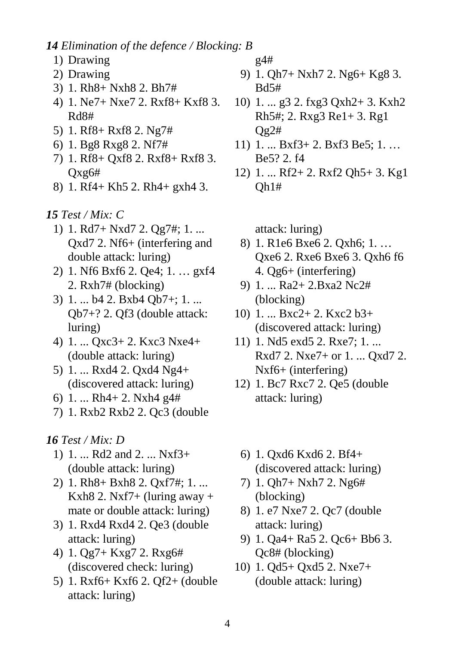*14 Elimination of the defence / Blocking: B*

- 1) Drawing
- 2) Drawing
- 3) 1. Rh8+ Nxh8 2. Bh7#
- 4) 1. Ne7+ Nxe7 2. Rxf8+ Kxf8 3. Rd8#
- 5) 1. Rf8+ Rxf8 2. Ng7#
- 6) 1. Bg8 Rxg8 2. Nf7#
- 7) 1. Rf8+ Qxf8 2. Rxf8+ Rxf8 3. Qxg6#
- 8) 1. Rf4+ Kh5 2. Rh4+ gxh4 3.

*15 Test / Mix: C*

- 1) 1. Rd7+ Nxd7 2. Qg7#; 1. ... Qxd7 2. Nf6+ (interfering and double attack: luring)
- 2) 1. Nf6 Bxf6 2. Qe4; 1. … gxf4 2. Rxh7# (blocking)
- 3) 1. ... b4 2. Bxb4 Qb7+; 1. ... Qb7+? 2. Qf3 (double attack: luring)
- 4) 1. ... Qxc3+ 2. Kxc3 Nxe4+ (double attack: luring)
- 5) 1. ... Rxd4 2. Qxd4 Ng4+ (discovered attack: luring)
- 6) 1. ... Rh4+ 2. Nxh4 g4#
- 7) 1. Rxb2 Rxb2 2. Qc3 (double

### *16 Test / Mix: D*

- 1) 1. ... Rd2 and 2. ... Nxf3+ (double attack: luring)
- 2) 1. Rh8+ Bxh8 2. Qxf7#; 1. ... Kxh8 2. Nxf7+ (luring away + mate or double attack: luring)
- 3) 1. Rxd4 Rxd4 2. Qe3 (double attack: luring)
- 4) 1. Qg7+ Kxg7 2. Rxg6# (discovered check: luring)
- 5) 1. Rxf6+ Kxf6 2. Qf2+ (double attack: luring)

g4#

- 9) 1. Qh7+ Nxh7 2. Ng6+ Kg8 3. Bd5#
- 10) 1. ... g3 2. fxg3 Qxh2+ 3. Kxh2 Rh5#; 2. Rxg3 Re1+ 3. Rg1  $Qg2#$
- 11) 1. ... Bxf3+ 2. Bxf3 Be5; 1. … Be5? 2. f4
- 12) 1. ... Rf2+ 2. Rxf2 Qh5+ 3. Kg1 Qh1#

attack: luring)

- 8) 1. R1e6 Bxe6 2. Qxh6; 1. … Qxe6 2. Rxe6 Bxe6 3. Qxh6 f6 4. Qg6+ (interfering)
- 9) 1. ... Ra2+ 2.Bxa2 Nc2# (blocking)
- 10) 1. ... Bxc2+ 2. Kxc2 b3+ (discovered attack: luring)
- 11) 1. Nd5 exd5 2. Rxe7; 1. ... Rxd7 2. Nxe7+ or 1. ... Qxd7 2. Nxf6+ (interfering)
- 12) 1. Bc7 Rxc7 2. Qe5 (double attack: luring)
	- 6) 1. Qxd6 Kxd6 2. Bf4+ (discovered attack: luring)
	- 7) 1. Qh7+ Nxh7 2. Ng6# (blocking)
	- 8) 1. e7 Nxe7 2. Qc7 (double attack: luring)
	- 9) 1. Qa4+ Ra5 2. Qc6+ Bb6 3. Qc8# (blocking)
- 10) 1. Qd5+ Qxd5 2. Nxe7+ (double attack: luring)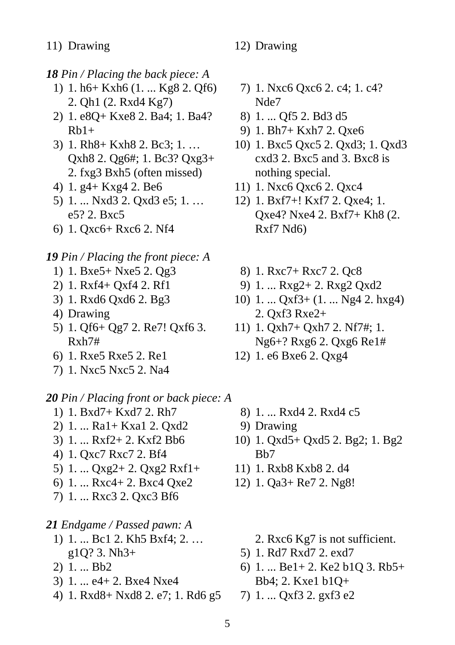11) Drawing 12) Drawing

## *18 Pin / Placing the back piece: A*

- 1) 1. h6+ Kxh6 (1. ... Kg8 2. Qf6) 2. Qh1 (2. Rxd4 Kg7)
- 2) 1. e8Q+ Kxe8 2. Ba4; 1. Ba4?  $Rb1+$
- 3) 1. Rh8+ Kxh8 2. Bc3; 1. … Qxh8 2. Qg6#; 1. Bc3? Qxg3+ 2. fxg3 Bxh5 (often missed)
- 4) 1. g4+ Kxg4 2. Be6
- 5) 1. ... Nxd3 2. Qxd3 e5; 1. … e5? 2. Bxc5
- 6) 1. Qxc6+ Rxc6 2. Nf4

## *19 Pin / Placing the front piece: A*

- 1) 1. Bxe5+ Nxe5 2. Qg3
- 2) 1. Rxf4+ Qxf4 2. Rf1
- 3) 1. Rxd6 Qxd6 2. Bg3
- 4) Drawing
- 5) 1. Qf6+ Qg7 2. Re7! Qxf6 3. Rxh7#
- 6) 1. Rxe5 Rxe5 2. Re1
- 7) 1. Nxc5 Nxc5 2. Na4

#### *20 Pin / Placing front or back piece: A*

- 1) 1. Bxd7+ Kxd7 2. Rh7
- 2) 1. ... Ra1+ Kxa1 2. Qxd2
- 3) 1. ... Rxf2+ 2. Kxf2 Bb6
- 4) 1. Qxc7 Rxc7 2. Bf4
- 5) 1. ... Qxg2+ 2. Qxg2 Rxf1+
- 6) 1. ... Rxc4+ 2. Bxc4 Qxe2
- 7) 1. ... Rxc3 2. Qxc3 Bf6

### *21 Endgame / Passed pawn: A*

- 1) 1. ... Bc1 2. Kh5 Bxf4; 2. … g1Q? 3. Nh3+
- 2) 1. ... Bb2
- 3) 1. ... e4+ 2. Bxe4 Nxe4
- 4) 1. Rxd8+ Nxd8 2. e7; 1. Rd6 g5
- 
- 7) 1. Nxc6 Qxc6 2. c4; 1. c4? Nde7
- 8) 1. ... Qf5 2. Bd3 d5
- 9) 1. Bh7+ Kxh7 2. Qxe6
- 10) 1. Bxc5 Qxc5 2. Qxd3; 1. Qxd3 cxd3 2. Bxc5 and 3. Bxc8 is nothing special.
- 11) 1. Nxc6 Qxc6 2. Qxc4
- 12) 1. Bxf7+! Kxf7 2. Qxe4; 1. Qxe4? Nxe4 2. Bxf7+ Kh8 (2. Rxf7 Nd6)
	- 8) 1. Rxc7+ Rxc7 2. Qc8
- 9) 1. ... Rxg2+ 2. Rxg2 Qxd2
- 10) 1. ... Qxf3+ (1. ... Ng4 2. hxg4) 2. Qxf3 Rxe2+
- 11) 1. Qxh7+ Qxh7 2. Nf7#; 1. Ng6+? Rxg6 2. Qxg6 Re1#
- 12) 1. e6 Bxe6 2. Qxg4
	- 8) 1. ... Rxd4 2. Rxd4 c5
	- 9) Drawing
- 10) 1. Qxd5+ Qxd5 2. Bg2; 1. Bg2 Bb7
- 11) 1. Rxb8 Kxb8 2. d4
- 12) 1. Qa3+ Re7 2. Ng8!
	- 2. Rxc6 Kg7 is not sufficient.
	- 5) 1. Rd7 Rxd7 2. exd7
	- 6) 1. ... Be1+ 2. Ke2 b1Q 3. Rb5+ Bb4; 2. Kxe1 b1Q+
- 7) 1. ... Qxf3 2. gxf3 e2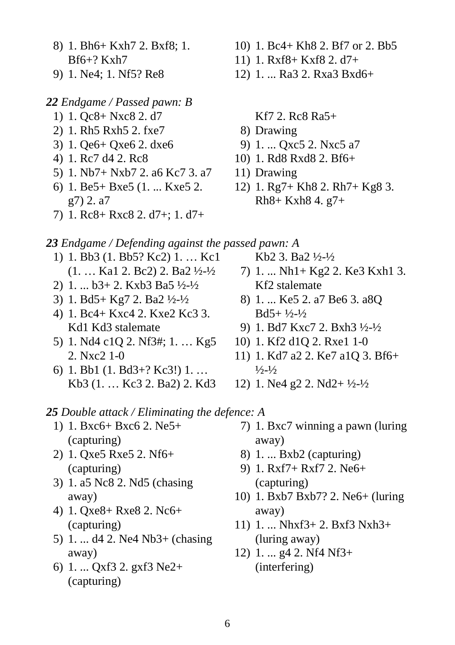- 8) 1. Bh6+ Kxh7 2. Bxf8; 1.  $Bf6+?$  Kxh7
- 9) 1. Ne4; 1. Nf5? Re8

## 22 Endgame / Passed pawn: B

- 1) 1. Qc8+ Nxc8 2. d7
- 2) 1. Rh5 Rxh5 2. fxe7
- 3) 1. Qe6+ Qxe6 2. dxe6
- 4) 1. Rc7 d4 2. Rc8
- 5) 1. Nb7+ Nxb7 2. a6 Kc7 3. a7
- 6) 1. Be5+ Bxe5 (1. ... Kxe5 2. g7) 2. a7
- 7) 1. Rc8+ Rxc8 2. d7+; 1. d7+
- 10) 1. Bc4+ Kh8 2. Bf7 or 2. Bb5
- 11) 1. Rxf8+ Kxf8 2. d7+
- 12) 1. ... Ra3 2. Rxa3 Bxd6+

Kf7 2. Rc8 Ra5+

- 8) Drawing
- 9) 1. ... Qxc5 2. Nxc5 a7
- 10) 1. Rd8 Rxd8 2. Bf6+
- 11) Drawing
- 12) 1. Rg7+ Kh8 2. Rh7+ Kg8 3. Rh8+ Kxh8 4. g7+

23 Endgame / Defending against the passed pawn: A

- 1) 1. Bb3 (1. Bb5? Kc2) 1. ... Kc1
- $(1. \ldots$  Ka1 2. Bc2) 2. Ba2  $\frac{1}{2}$ - $\frac{1}{2}$ 2) 1. ...  $b3+2$ . Kxb3 Ba5  $\frac{1}{2}$ - $\frac{1}{2}$
- 3) 1. Bd5+ Kg7 2. Ba2  $\frac{1}{2}$ - $\frac{1}{2}$
- 4) 1. Bc4+ Kxc4 2. Kxe2 Kc3 3. Kd1 Kd3 stalemate
- 5) 1. Nd4 c1Q 2. Nf3#; 1. ... Kg5 2. Nxc2 1-0
- 6) 1. Bb1 (1. Bd3+? Kc3!) 1. ... Kb3 (1. ... Kc3 2. Ba2) 2. Kd3
- Kb2 3. Ba2 1/2-1/2
- 7) 1. ... Nh1+ Kg2 2. Ke3 Kxh1 3. Kf2 stalemate
- 8) 1. ... Ke5 2. a7 Be6 3. a8Q  $Bd5+1/2-1/2$
- 9) 1. Bd7 Kxc7 2. Bxh3 1/2-1/2
- 10) 1. Kf2 d1Q 2. Rxe1 1-0
- 11) 1. Kd7 a2 2. Ke7 a1Q 3. Bf6+  $\frac{1}{2} - \frac{1}{2}$
- 12) 1. Ne4 g2 2. Nd2+ 1/2-1/2

25 Double attack / Eliminating the defence: A

- 1) 1. Bxc6+ Bxc6 2. Ne5+ (capturing)
- 2) 1. Qxe5 Rxe5 2. Nf6+ (capturing)
- 3) 1. a5 Nc8 2. Nd5 (chasing away)
- 4) 1. Qxe8+ Rxe8 2. Nc6+ (capturing)
- 5) 1. ... d4 2. Ne4 Nb3+ (chasing away)
- 6) 1. ... Qxf3 2. gxf3 Ne2+ (capturing)
- 7) 1. Bxc7 winning a pawn (luring away)
- 8) 1. ... Bxb2 (capturing)
- 9) 1. Rxf7+ Rxf7 2. Ne6+ (capturing)
- 10) 1. Bxb7 Bxb7? 2. Ne6+ (luring away)
- 11) 1. ... Nhxf3+ 2. Bxf3 Nxh3+ (luring away)
- 12) 1. ... g4 2. Nf4 Nf3+ (interfering)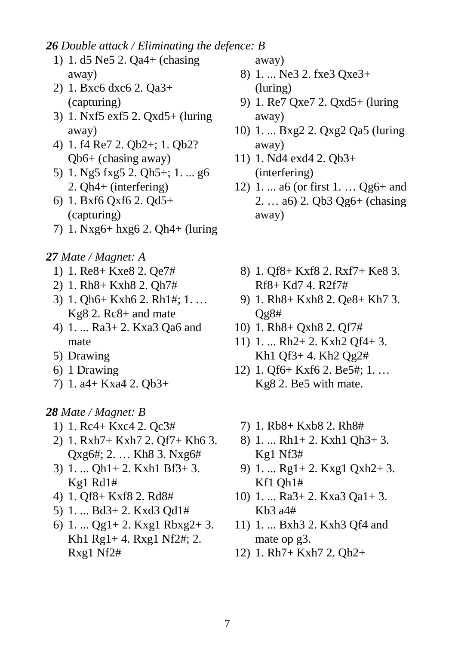*26 Double attack / Eliminating the defence: B*

- 1) 1. d5 Ne5 2. Qa4+ (chasing away)
- 2) 1. Bxc6 dxc6 2. Qa3+ (capturing)
- 3) 1. Nxf5 exf5 2. Qxd5+ (luring away)
- 4) 1. f4 Re7 2. Qb2+; 1. Qb2? Qb6+ (chasing away)
- 5) 1. Ng5 fxg5 2. Qh5+; 1. ... g6 2. Qh4+ (interfering)
- 6) 1. Bxf6 Qxf6 2. Qd5+ (capturing)
- 7) 1. Nxg6+ hxg6 2. Qh4+ (luring

## *27 Mate / Magnet: A*

- 1) 1. Re8+ Kxe8 2. Qe7#
- 2) 1. Rh8+ Kxh8 2. Qh7#
- 3) 1. Qh6+ Kxh6 2. Rh1#; 1. … Kg8 2. Rc8+ and mate
- 4) 1. ... Ra3+ 2. Kxa3 Qa6 and mate
- 5) Drawing
- 6) 1 Drawing
- 7) 1. a4+ Kxa4 2. Qb3+

## *28 Mate / Magnet: B*

- 1) 1. Rc4+ Kxc4 2. Qc3#
- 2) 1. Rxh7+ Kxh7 2. Qf7+ Kh6 3. Qxg6#; 2. … Kh8 3. Nxg6#
- 3) 1. ... Qh1+ 2. Kxh1 Bf3+ 3. Kg1 Rd1#
- 4) 1. Qf8+ Kxf8 2. Rd8#
- 5) 1. ... Bd3+ 2. Kxd3 Qd1#
- 6) 1. ... Qg1+ 2. Kxg1 Rbxg2+ 3. Kh1 Rg1+ 4. Rxg1 Nf2#; 2. Rxg1 Nf2#

away)

- 8) 1. ... Ne3 2. fxe3 Qxe3+ (luring)
- 9) 1. Re7 Qxe7 2. Qxd5+ (luring away)
- 10) 1. ... Bxg2 2. Qxg2 Qa5 (luring away)
- 11) 1. Nd4 exd4 2. Qb3+ (interfering)
- 12) 1. ... a6 (or first 1. … Qg6+ and 2. … a6) 2. Qb3 Qg6+ (chasing away)
	- 8) 1. Qf8+ Kxf8 2. Rxf7+ Ke8 3. Rf8+ Kd7 4. R2f7#
	- 9) 1. Rh8+ Kxh8 2. Qe8+ Kh7 3. Qg8#
- 10) 1. Rh8+ Qxh8 2. Qf7#
- 11) 1. ... Rh2+ 2. Kxh2 Qf4+ 3. Kh1 Qf3+ 4. Kh2 Qg2#
- 12) 1. Qf6+ Kxf6 2. Be5#; 1. … Kg8 2. Be5 with mate.
	- 7) 1. Rb8+ Kxb8 2. Rh8#
	- 8) 1. ... Rh1+ 2. Kxh1 Qh3+ 3. Kg1 Nf3#
	- 9) 1. ... Rg1+ 2. Kxg1 Qxh2+ 3. Kf1 Qh1#
- 10) 1. ... Ra3+ 2. Kxa3 Qa1+ 3. Kb3 a4#
- 11) 1. ... Bxh3 2. Kxh3 Qf4 and mate op g3.
- 12) 1. Rh7+ Kxh7 2. Qh2+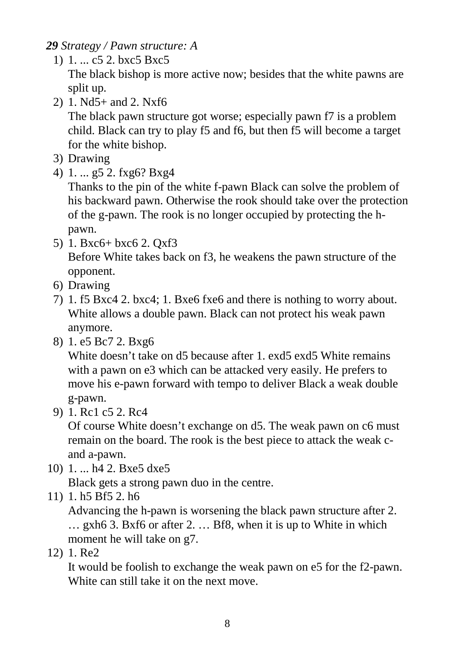*29 Strategy / Pawn structure: A*

- 1) 1. ... c5 2. bxc5 Bxc5 The black bishop is more active now; besides that the white pawns are split up.
- 2) 1. Nd5+ and 2. Nxf6

 The black pawn structure got worse; especially pawn f7 is a problem child. Black can try to play f5 and f6, but then f5 will become a target for the white bishop.

- 3) Drawing
- 4) 1. ... g5 2. fxg6? Bxg4

 Thanks to the pin of the white f-pawn Black can solve the problem of his backward pawn. Otherwise the rook should take over the protection of the g-pawn. The rook is no longer occupied by protecting the hpawn.

- 5) 1. Bxc6+ bxc6 2. Qxf3 Before White takes back on f3, he weakens the pawn structure of the opponent.
- 6) Drawing
- 7) 1. f5 Bxc4 2. bxc4; 1. Bxe6 fxe6 and there is nothing to worry about. White allows a double pawn. Black can not protect his weak pawn anymore.
- 8) 1. e5 Bc7 2. Bxg6

White doesn't take on d5 because after 1, exd5 exd5 White remains with a pawn on e3 which can be attacked very easily. He prefers to move his e-pawn forward with tempo to deliver Black a weak double g-pawn.

9) 1. Rc1 c5 2. Rc4

 Of course White doesn't exchange on d5. The weak pawn on c6 must remain on the board. The rook is the best piece to attack the weak cand a-pawn.

10) 1. ... h4 2. Bxe5 dxe5

Black gets a strong pawn duo in the centre.

11) 1. h5 Bf5 2. h6

 Advancing the h-pawn is worsening the black pawn structure after 2. … gxh6 3. Bxf6 or after 2. … Bf8, when it is up to White in which moment he will take on g7.

12) 1. Re2

 It would be foolish to exchange the weak pawn on e5 for the f2-pawn. White can still take it on the next move.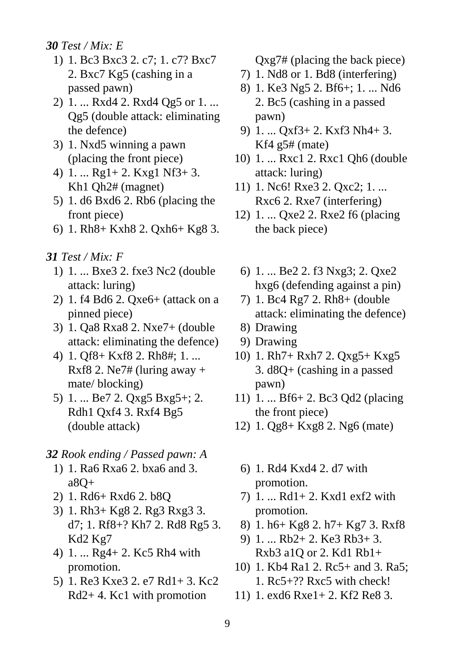*30 Test / Mix: E*

- 1) 1. Bc3 Bxc3 2. c7; 1. c7? Bxc7 2. Bxc7 Kg5 (cashing in a passed pawn)
- 2) 1. ... Rxd4 2. Rxd4 Qg5 or 1. ... Qg5 (double attack: eliminating the defence)
- 3) 1. Nxd5 winning a pawn (placing the front piece)
- 4) 1. ... Rg1+ 2. Kxg1 Nf3+ 3. Kh1 Qh2# (magnet)
- 5) 1. d6 Bxd6 2. Rb6 (placing the front piece)
- 6) 1. Rh8+ Kxh8 2. Qxh6+ Kg8 3.
- *31 Test / Mix: F*
	- 1) 1. ... Bxe3 2. fxe3 Nc2 (double attack: luring)
	- 2) 1. f4 Bd6 2. Qxe6+ (attack on a pinned piece)
	- 3) 1. Qa8 Rxa8 2. Nxe7+ (double attack: eliminating the defence)
	- 4) 1. Qf8+ Kxf8 2. Rh8#; 1. ... Rxf8 2. Ne7# (luring away  $+$ mate/ blocking)
	- 5) 1. ... Be7 2. Qxg5 Bxg5+; 2. Rdh1 Qxf4 3. Rxf4 Bg5 (double attack)
- *32 Rook ending / Passed pawn: A*
	- 1) 1. Ra6 Rxa6 2. bxa6 and 3. a8Q+
	- 2) 1. Rd6+ Rxd6 2. b8Q
	- 3) 1. Rh3+ Kg8 2. Rg3 Rxg3 3. d7; 1. Rf8+? Kh7 2. Rd8 Rg5 3. Kd2 Kg7
	- 4) 1. ... Rg4+ 2. Kc5 Rh4 with promotion.
	- 5) 1. Re3 Kxe3 2. e7 Rd1+ 3. Kc2 Rd2+ 4. Kc1 with promotion

Qxg7# (placing the back piece)

- 7) 1. Nd8 or 1. Bd8 (interfering)
- 8) 1. Ke3 Ng5 2. Bf6+; 1. ... Nd6 2. Bc5 (cashing in a passed pawn)
- 9) 1. ... Qxf3+ 2. Kxf3 Nh4+ 3. Kf4 g5# (mate)
- 10) 1. ... Rxc1 2. Rxc1 Qh6 (double attack: luring)
- 11) 1. Nc6! Rxe3 2. Qxc2; 1. ... Rxc6 2. Rxe7 (interfering)
- 12) 1. ... Qxe2 2. Rxe2 f6 (placing the back piece)
	- 6) 1. ... Be2 2. f3 Nxg3; 2. Qxe2 hxg6 (defending against a pin)
	- 7) 1. Bc4 Rg7 2. Rh8+ (double attack: eliminating the defence)
	- 8) Drawing
	- 9) Drawing
- 10) 1. Rh7+ Rxh7 2. Qxg5+ Kxg5 3. d8Q+ (cashing in a passed pawn)
- 11) 1. ... Bf6+ 2. Bc3 Qd2 (placing the front piece)
- 12) 1. Qg8+ Kxg8 2. Ng6 (mate)
	- 6) 1. Rd4 Kxd4 2. d7 with promotion.
	- 7) 1. ... Rd1+ 2. Kxd1 exf2 with promotion.
	- 8) 1. h6+ Kg8 2. h7+ Kg7 3. Rxf8
	- 9) 1. ... Rb2+ 2. Ke3 Rb3+ 3. Rxb3 a1Q or 2. Kd1 Rb1+
- 10) 1. Kb4 Ra1 2. Rc5+ and 3. Ra5; 1. Rc5+?? Rxc5 with check!
- 11) 1. exd6 Rxe1+ 2. Kf2 Re8 3.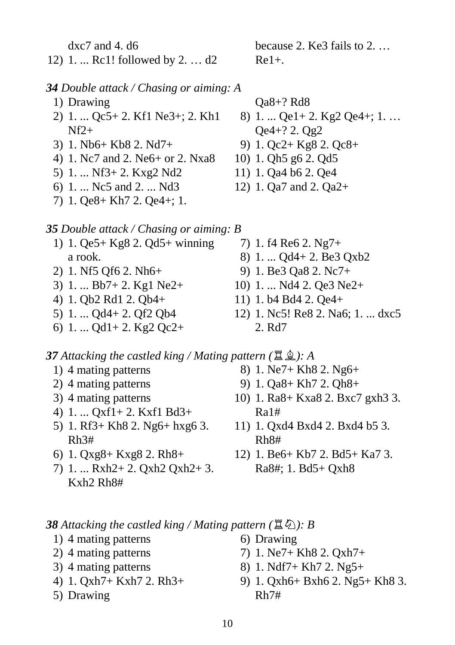$dxc7$  and 4.  $d6$ 

12) 1. ... Rc1! followed by 2. ... d2

## 34 Double attack / Chasing or aiming: A

- 1) Drawing
- 2) 1. ... Qc5+2. Kf1 Ne3+; 2. Kh1  $Nf2+$
- 3) 1. Nb6+ Kb8 2. Nd7+
- 4) 1. Nc7 and 2. Ne6+ or 2. Nxa8
- 5) 1. ... Nf3+ 2. Kxg2 Nd2
- 6) 1. ... Nc5 and 2. ... Nd3
- 7) 1. Qe8+ Kh7 2. Qe4+; 1.

## 35 Double attack / Chasing or aiming: B

- 1) 1. Qe5+ Kg8 2. Qd5+ winning a rook.
- 2) 1. Nf5 Qf6 2. Nh6+
- 3)  $1. \dots$  Bb7+ 2. Kg1 Ne2+
- 4) 1. Qb2 Rd1 2. Qb4+
- 5) 1. ... Qd4+ 2. Qf2 Qb4
- 6) 1. ...  $Qd1+2$ . Kg2  $Qc2+$

 $Qa8+? Rd8$ 

- 8) 1. ... Qe1+2. Kg2 Qe4+; 1. ... Qe4+? 2. Qg2
- 9) 1. Qc2+ Kg8 2. Qc8+
- 10) 1. Qh5 g6 2. Qd5
- 11) 1. Qa4 b6 2. Qe4
- 12) 1. Qa7 and 2. Qa2+
	- 7) 1. f4 Re6 2. Ng7+
	- 8) 1. ... Qd4+ 2. Be3 Qxb2
	- 9) 1. Be3 Qa8 2. Nc7+
- 10) 1. ... Nd4 2. Qe3 Ne2+
- 11) 1. b4 Bd4 2. Qe4+
- 12) 1. Nc5! Re8 2. Na6; 1. ... dxc5 2. Rd7

37 Attacking the castled king / Mating pattern ( $\mathbb{Z} \hat{\mathbb{Z}}$ ): A

- 1) 4 mating patterns
- 2) 4 mating patterns
- 3) 4 mating patterns
- 4) 1. ... Qxf1+2. Kxf1 Bd3+
- 5) 1. Rf3+ Kh8 2. Ng6+ hxg6 3.  $Rh3#$
- 6) 1. Qxg8+ Kxg8 2. Rh8+
- 7) 1. ... Rxh2+2. Qxh2 Qxh2+3. Kxh<sub>2</sub> Rh<sub>8#</sub>
- 8) 1. Ne7+ Kh8 2. Ng6+
- 9) 1. Qa8+ Kh7 2. Qh8+
- 10) 1. Ra8+ Kxa8 2. Bxc7 gxh3 3.  $Ra1#$
- 11) 1. Qxd4 Bxd4 2. Bxd4 b5 3. Rh<sub>8#</sub>
- 12) 1. Be6+ Kb7 2. Bd5+ Ka7 3. Ra8#; 1. Bd5+ Qxh8

38 Attacking the castled king / Mating pattern ( $\mathbb{Z}\mathbb{Q}$ ): B

- 1) 4 mating patterns
- 2) 4 mating patterns
- 3) 4 mating patterns
- 4) 1. Qxh7+ Kxh7 2. Rh3+
- 5) Drawing
- 6) Drawing
- 7) 1. Ne7+ Kh8 2. Qxh7+
- 8) 1. Ndf7+ Kh7 2. Ng5+
- 9) 1. Qxh6+ Bxh6 2. Ng5+ Kh8 3.  $Rh7#$

because 2. Ke3 fails to 2. ...  $Re1+$ .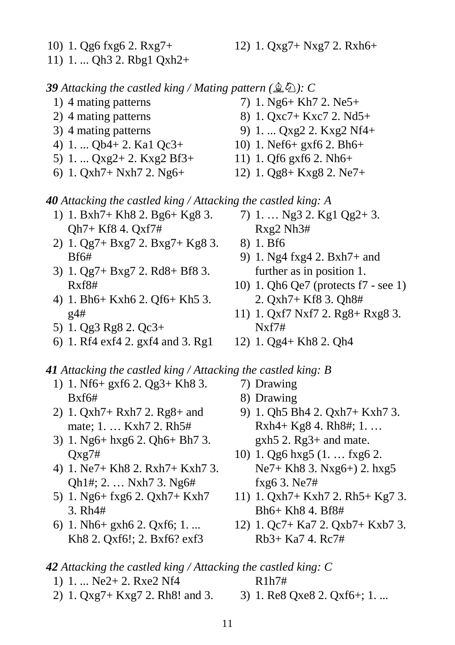- 10) 1. Qg6 fxg6 2. Rxg7+
- 12) 1. Qxg7+ Nxg7 2. Rxh6+
- 11) 1. ... Qh3 2. Rbg1 Qxh2+

*39 Attacking the castled king / Mating pattern (): C*

- 1) 4 mating patterns
- 2) 4 mating patterns
- 3) 4 mating patterns
- 4) 1. ... Qb4+ 2. Ka1 Qc3+
- 5) 1. ... Qxg2+ 2. Kxg2 Bf3+
- 6) 1. Qxh7+ Nxh7 2. Ng6+
- 7) 1. Ng6+ Kh7 2. Ne5+
- 8) 1. Qxc7+ Kxc7 2. Nd5+
- 9) 1. ... Qxg2 2. Kxg2 Nf4+
- 10) 1. Nef6+ gxf6 2. Bh6+
- 11) 1. Qf6 gxf6 2. Nh6+
- 12) 1. Qg8+ Kxg8 2. Ne7+

*40 Attacking the castled king / Attacking the castled king: A*

- 1) 1. Bxh7+ Kh8 2. Bg6+ Kg8 3. Qh7+ Kf8 4. Qxf7#
- 2) 1. Qg7+ Bxg7 2. Bxg7+ Kg8 3. Bf6#
- 3) 1. Qg7+ Bxg7 2. Rd8+ Bf8 3. Rxf8#
- 4) 1. Bh6+ Kxh6 2. Qf6+ Kh5 3. g4#
- 5) 1. Qg3 Rg8 2. Qc3+
- 6) 1. Rf4 exf4 2. gxf4 and 3. Rg1
- 7) 1. … Ng3 2. Kg1 Qg2+ 3. Rxg2 Nh3#
- 8) 1. Bf6
- 9) 1. Ng4 fxg4 2. Bxh7+ and further as in position 1.
- 10) 1. Qh6 Qe7 (protects f7 see 1) 2. Qxh7+ Kf8 3. Qh8#
- 11) 1. Qxf7 Nxf7 2. Rg8+ Rxg8 3. Nxf7#
- 12) 1. Qg4+ Kh8 2. Qh4
- *41 Attacking the castled king / Attacking the castled king: B*
	- 1) 1. Nf6+ gxf6 2. Qg3+ Kh8 3. Bxf6#
	- 2) 1. Qxh7+ Rxh7 2. Rg8+ and mate; 1. … Kxh7 2. Rh5#
	- 3) 1. Ng6+ hxg6 2. Qh6+ Bh7 3. Qxg7#
	- 4) 1. Ne7+ Kh8 2. Rxh7+ Kxh7 3. Qh1#; 2. … Nxh7 3. Ng6#
	- 5) 1. Ng6+ fxg6 2. Qxh7+ Kxh7 3. Rh4#
	- 6) 1. Nh6+ gxh6 2. Qxf6; 1. ... Kh8 2. Qxf6!; 2. Bxf6? exf3
- 7) Drawing
- 8) Drawing
- 9) 1. Qh5 Bh4 2. Qxh7+ Kxh7 3. Rxh4+ Kg8 4. Rh8#; 1. … gxh5 2. Rg3+ and mate.
- 10) 1. Qg6 hxg5 (1. … fxg6 2. Ne7+ Kh8 3. Nxg6+) 2. hxg5 fxg6 3. Ne7#
- 11) 1. Qxh7+ Kxh7 2. Rh5+ Kg7 3. Bh6+ Kh8 4. Bf8#
- 12) 1. Qc7+ Ka7 2. Qxb7+ Kxb7 3. Rb3+ Ka7 4. Rc7#
- *42 Attacking the castled king / Attacking the castled king: C* R1h7#
	- 1) 1. ... Ne2+ 2. Rxe2 Nf4
	- 2) 1. Qxg7+ Kxg7 2. Rh8! and 3.
- 3) 1. Re8 Qxe8 2. Qxf6+; 1. ...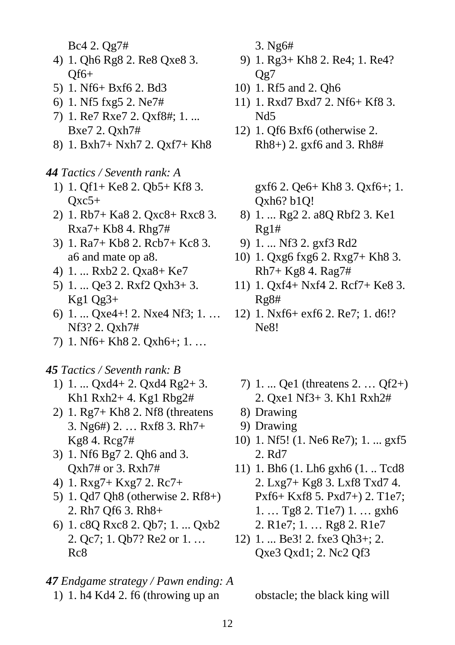Bc4 2. Qg7#

- 4) 1. Qh6 Rg8 2. Re8 Qxe8 3.  $Qf6+$
- 5) 1. Nf6+ Bxf6 2. Bd3
- 6) 1. Nf5 fxg5 2. Ne7#
- 7) 1. Re7 Rxe7 2. Qxf8#; 1. ... Bxe7 2. Qxh7#
- 8) 1. Bxh7+ Nxh7 2. Qxf7+ Kh8

44 Tactics / Seventh rank: A

- 1) 1. Qf1+ Ke8 2. Qb5+ Kf8 3.  $Qxc5+$
- 2) 1. Rb7+ Ka8 2. Qxc8+ Rxc8 3. Rxa7+ Kb8 4. Rhg7#
- 3) 1. Ra7+ Kb8 2. Rcb7+ Kc8 3. a6 and mate op a8.
- 4) 1. ... Rxb2 2. Qxa8+ Ke7
- 5) 1. ... Qe3 2. Rxf2 Qxh3+ 3. Kg1 Qg3+
- 6) 1. ...  $Qxe4+!$  2. Nxe4 Nf3; 1. ... Nf3? 2. Qxh7#
- 7) 1. Nf6+ Kh8 2. Qxh6+; 1. ...

## 45 Tactics / Seventh rank: B

- 1)  $1. \ldots$  Qxd4+ 2. Qxd4 Rg2+ 3. Kh1 Rxh2+4. Kg1 Rbg2#
- 2)  $1. Rg7 + Kh8 2. Nf8$  (threatens 3.  $Ng6#$ ) 2. ...  $Rxf8$  3.  $Rh7+$ Kg8 4. Rcg7#
- 3) 1. Nf6 Bg7 2. Qh6 and 3. Qxh7# or 3. Rxh7#
- 4) 1. Rxg7+ Kxg7 2. Rc7+
- 5) 1.  $Qd7 Qh8$  (otherwise 2. Rf8+) 2. Rh7 Qf6 3. Rh8+
- 6) 1. c8Q Rxc8 2. Qb7; 1. ... Qxb2 2. Qc7; 1. Qb7? Re2 or 1. ...  $Rc8$
- 47 Endgame strategy / Pawn ending: A
	- 1) 1.  $h4$  Kd4 2. f6 (throwing up an
- 3. Ng6#
- 9) 1. Rg3+ Kh8 2. Re4; 1. Re4?  $Qg7$
- 10) 1. Rf5 and 2. Qh6
- 11) 1. Rxd7 Bxd7 2. Nf6+ Kf8 3. Nd<sub>5</sub>
- 12) 1. Qf6 Bxf6 (otherwise 2. Rh8+) 2. gxf6 and 3. Rh8#

gxf6 2. Qe6+ Kh8 3. Qxf6+; 1. Qxh6? b1Q!

- 8) 1. ... Rg2 2. a8Q Rbf2 3. Ke1  $Rg1#$
- 9) 1. ... Nf3 2. gxf3 Rd2
- 10) 1. Qxg6 fxg6 2. Rxg7+ Kh8 3. Rh7+ Kg8 4. Rag7#
- 11) 1. Qxf4+ Nxf4 2. Rcf7+ Ke8 3.  $Rg8#$
- 12) 1. Nxf6+ exf6 2. Re7; 1. d6!? Ne8!
	- 7) 1. ... Qe1 (threatens 2. ... Qf2+) 2. Qxe1 Nf3+ 3. Kh1 Rxh2#
	- 8) Drawing
	- 9) Drawing
- 10) 1. Nf5! (1. Ne6 Re7); 1. ... gxf5 2. Rd7
- 11) 1. Bh6 (1. Lh6 gxh6 (1. .. Tcd8) 2. Lxg7+ Kg8 3. Lxf8 Txd7 4. Pxf6+ Kxf8 5. Pxd7+) 2. T1e7;  $1. \ldots$  Tg8 2. T1e7)  $1. \ldots$  gxh6 2. R<sub>1e7</sub>; 1. ... Rg8 2. R<sub>1e7</sub>
- 12) 1. ... Be3! 2. fxe3 Qh3+; 2. Qxe3 Qxd1; 2. Nc2 Qf3

obstacle; the black king will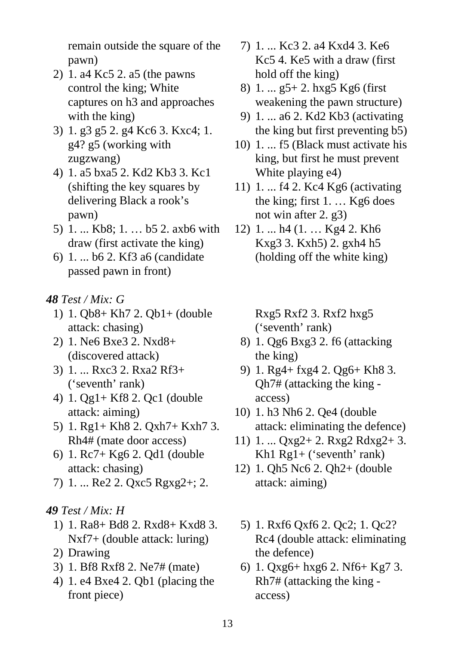remain outside the square of the pawn)

- 2) 1. a4 Kc5 2. a5 (the pawns control the king; White captures on h3 and approaches with the king)
- 3) 1. g3 g5 2. g4 Kc6 3. Kxc4; 1. g4? g5 (working with zugzwang)
- 4) 1. a5 bxa5 2. Kd2 Kb3 3. Kc1 (shifting the key squares by delivering Black a rook's pawn)
- 5) 1. ... Kb8; 1. … b5 2. axb6 with draw (first activate the king)
- 6) 1. ... b6 2. Kf3 a6 (candidate passed pawn in front)

*48 Test / Mix: G*

- 1) 1. Qb8+ Kh7 2. Qb1+ (double attack: chasing)
- 2) 1. Ne6 Bxe3 2. Nxd8+ (discovered attack)
- 3) 1. ... Rxc3 2. Rxa2 Rf3+ ('seventh' rank)
- 4) 1. Qg1+ Kf8 2. Qc1 (double attack: aiming)
- 5) 1. Rg1+ Kh8 2. Qxh7+ Kxh7 3. Rh4# (mate door access)
- 6) 1. Rc7+ Kg6 2. Qd1 (double attack: chasing)
- 7) 1. ... Re2 2. Qxc5 Rgxg2+; 2.

# *49 Test / Mix: H*

- 1) 1. Ra8+ Bd8 2. Rxd8+ Kxd8 3. Nxf7+ (double attack: luring)
- 2) Drawing
- 3) 1. Bf8 Rxf8 2. Ne7# (mate)
- 4) 1. e4 Bxe4 2. Qb1 (placing the front piece)
- 7) 1. ... Kc3 2. a4 Kxd4 3. Ke6 Kc5 4. Ke5 with a draw (first hold off the king)
- 8) 1. ... g5+ 2. hxg5 Kg6 (first weakening the pawn structure)
- 9) 1. ... a6 2. Kd2 Kb3 (activating the king but first preventing b5)
- 10) 1. ... f5 (Black must activate his king, but first he must prevent White playing e4)
- 11) 1. ... f4 2. Kc4 Kg6 (activating the king; first 1. … Kg6 does not win after 2. g3)
- 12) 1. ... h4 (1. … Kg4 2. Kh6 Kxg3 3. Kxh5) 2. gxh4 h5 (holding off the white king)

Rxg5 Rxf2 3. Rxf2 hxg5 ('seventh' rank)

- 8) 1. Qg6 Bxg3 2. f6 (attacking the king)
- 9) 1. Rg4+ fxg4 2. Qg6+ Kh8 3. Qh7# (attacking the king access)
- 10) 1. h3 Nh6 2. Qe4 (double attack: eliminating the defence)
- 11) 1. ... Qxg2+ 2. Rxg2 Rdxg2+ 3. Kh1 Rg1+ ('seventh' rank)
- 12) 1. Qh5 Nc6 2. Qh2+ (double attack: aiming)
	- 5) 1. Rxf6 Qxf6 2. Qc2; 1. Qc2? Rc4 (double attack: eliminating the defence)
	- 6) 1. Qxg6+ hxg6 2. Nf6+ Kg7 3. Rh7# (attacking the king access)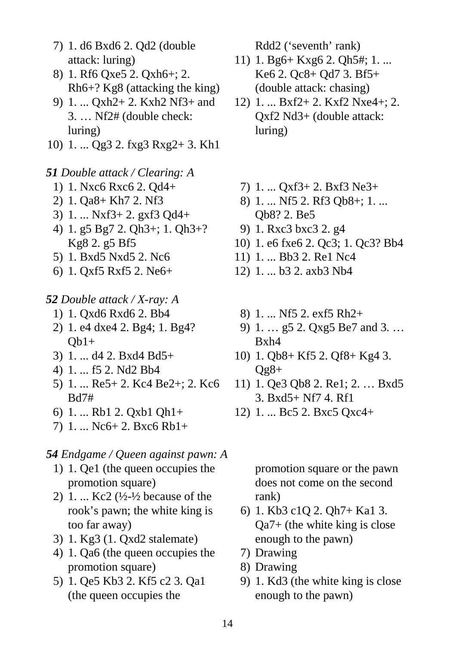- 7) 1. d6 Bxd6 2. Qd2 (double attack: luring)
- 8) 1. Rf6 Qxe5 2. Qxh6+; 2. Rh6+? Kg8 (attacking the king)
- 9) 1. ... Qxh2+ 2. Kxh2 Nf3+ and 3. … Nf2# (double check: luring)
- 10) 1. ... Qg3 2. fxg3 Rxg2+ 3. Kh1

### *51 Double attack / Clearing: A*

- 1) 1. Nxc6 Rxc6 2. Qd4+
- 2) 1. Qa8+ Kh7 2. Nf3
- 3) 1. ... Nxf3+ 2. gxf3 Qd4+
- 4) 1. g5 Bg7 2. Qh3+; 1. Qh3+? Kg8 2. g5 Bf5
- 5) 1. Bxd5 Nxd5 2. Nc6
- 6) 1. Qxf5 Rxf5 2. Ne6+

# *52 Double attack / X-ray: A*

- 1) 1. Qxd6 Rxd6 2. Bb4
- 2) 1. e4 dxe4 2. Bg4; 1. Bg4?  $Qb1+$
- 3) 1. ... d4 2. Bxd4 Bd5+
- 4) 1. ... f5 2. Nd2 Bb4
- 5) 1. ... Re5+ 2. Kc4 Be2+; 2. Kc6 Bd7#
- 6) 1. ... Rb1 2. Qxb1 Qh1+
- 7) 1. ... Nc6+ 2. Bxc6 Rb1+

## *54 Endgame / Queen against pawn: A*

- 1) 1. Qe1 (the queen occupies the promotion square)
- 2) 1. ...  $Kc2$  ( $\frac{1}{2}$ - $\frac{1}{2}$  because of the rook's pawn; the white king is too far away)
- 3) 1. Kg3 (1. Qxd2 stalemate)
- 4) 1. Qa6 (the queen occupies the promotion square)
- 5) 1. Qe5 Kb3 2. Kf5 c2 3. Qa1 (the queen occupies the

Rdd2 ('seventh' rank)

- 11) 1. Bg6+ Kxg6 2. Qh5#; 1. ... Ke6 2. Qc8+ Qd7 3. Bf5+ (double attack: chasing)
- 12) 1. ... Bxf2+ 2. Kxf2 Nxe4+; 2. Qxf2 Nd3+ (double attack: luring)
	- 7) 1. ... Qxf3+ 2. Bxf3 Ne3+
	- 8) 1. ... Nf5 2. Rf3 Qb8+; 1. ... Qb8? 2. Be5
- 9) 1. Rxc3 bxc3 2. g4
- 10) 1. e6 fxe6 2. Qc3; 1. Qc3? Bb4
- 11) 1. ... Bb3 2. Re1 Nc4
- 12) 1. ... b3 2. axb3 Nb4
- 8) 1. ... Nf5 2. exf5 Rh2+
- 9) 1. … g5 2. Qxg5 Be7 and 3. … Bxh4
- 10) 1. Qb8+ Kf5 2. Qf8+ Kg4 3.  $Qg8+$
- 11) 1. Qe3 Qb8 2. Re1; 2. … Bxd5 3. Bxd5+ Nf7 4. Rf1
- 12) 1. ... Bc5 2. Bxc5 Qxc4+

promotion square or the pawn does not come on the second rank)

- 6) 1. Kb3 c1Q 2. Qh7+ Ka1 3. Qa7+ (the white king is close enough to the pawn)
- 7) Drawing
- 8) Drawing
- 9) 1. Kd3 (the white king is close enough to the pawn)